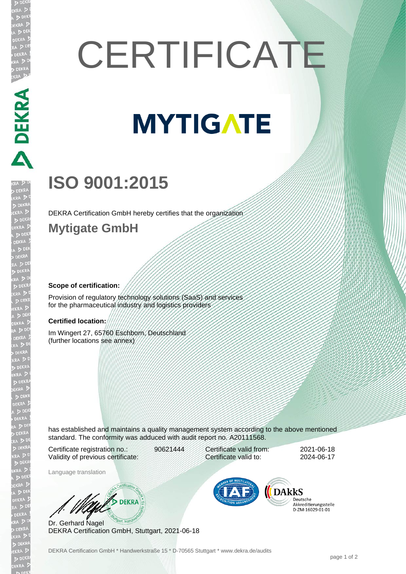# **CERTIFICATE**

## **MYTIGATE**

### **ISO 9001:2015**

DEKRA Certification GmbH hereby certifies that the organization

#### **Mytigate GmbH**

DEKRA DEKRA DEKRA

#### **Scope of certification:**

Provision of regulatory technology solutions (SaaS) and services for the pharmaceutical industry and logistics providers

#### **Certified location:**

Im Wingert 27, 65760 Eschborn, Deutschland (further locations see annex)

has established and maintains a quality management system according to the above mentioned standard. The conformity was adduced with audit report no. A20111568.

Certificate registration no.: 90621444 Validity of previous certificate:

Certificate valid from: 2021-06-18 Certificate valid to: 2024-06-17

Language translation

W/S DEKRA

Dr. Gerhard Nagel DEKRA Certification GmbH, Stuttgart, 2021-06-18



Deutsche Akkreditierungsstelle